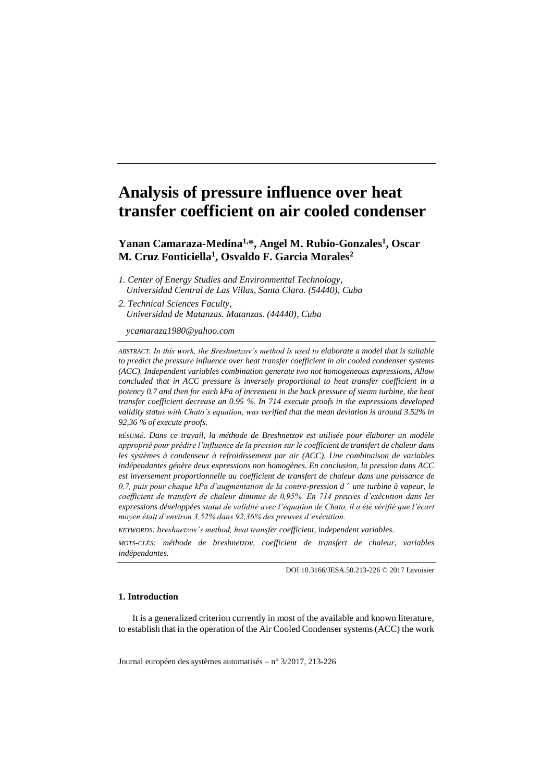# **Analysis of pressure influence over heat transfer coefficient on air cooled condenser**

**Yanan Camaraza-Medina1,\*, Angel M. Rubio-Gonzales<sup>1</sup> , Oscar M. Cruz Fonticiella<sup>1</sup> , Osvaldo F. Garcia Morales<sup>2</sup>**

- *1. Center of Energy Studies and Environmental Technology, Universidad Central de Las Villas, Santa Clara. (54440), Cuba*
- *2. Technical Sciences Faculty, Universidad de Matanzas. Matanzas. (44440), Cuba*

*ycamaraza1980@yahoo.com*

*ABSTRACT. In this work, the Breshnetzov's method is used to elaborate a model that is suitable to predict the pressure influence over heat transfer coefficient in air cooled condenser systems (ACC). Independent variables combination generate two not homogeneous expressions, Allow concluded that in ACC pressure is inversely proportional to heat transfer coefficient in a potency 0.7 and then for each kPa of increment in the back pressure of steam turbine, the heat transfer coefficient decrease an 0.95 %. In 714 execute proofs in the expressions developed validity status with Chato's equation, was verified that the mean deviation is around 3.52% in 92,36 % of execute proofs.*

*RÉSUMÉ. Dans ce travail, la méthode de Breshnetzov est utilisée pour élaborer un modèle approprié pour prédire l'influence de la pression sur le coefficient de transfert de chaleur dans les systèmes à condenseur à refroidissement par air (ACC). Une combinaison de variables indépendantes génère deux expressions non homogènes. En conclusion, la pression dans ACC est inversement proportionnelle au coefficient de transfert de chaleur dans une puissance de 0,7, puis pour chaque kPa d'augmentation de la contre-pression d*'*une turbine à vapeur, le coefficient de transfert de chaleur diminue de 0,95%. En 714 preuves d'exécution dans les expressions développées statut de validité avec l'équation de Chato, il a été vérifié que l'écart moyen était d'environ 3,52% dans 92,36% des preuves d'exécution.*

*KEYWORDS: breshnetzov's method, heat transfer coefficient, independent variables.*

*MOTS-CLÉS: méthode de breshnetzov, coefficient de transfert de chaleur, variables indépendantes.*

DOI:10.3166/JESA.50.213-226 © 2017 Lavoisier

### **1. Introduction**

It is a generalized criterion currently in most of the available and known literature, to establish that in the operation of the Air Cooled Condenser systems (ACC) the work

Journal européen des systèmes automatisés – n°3/2017, 213-226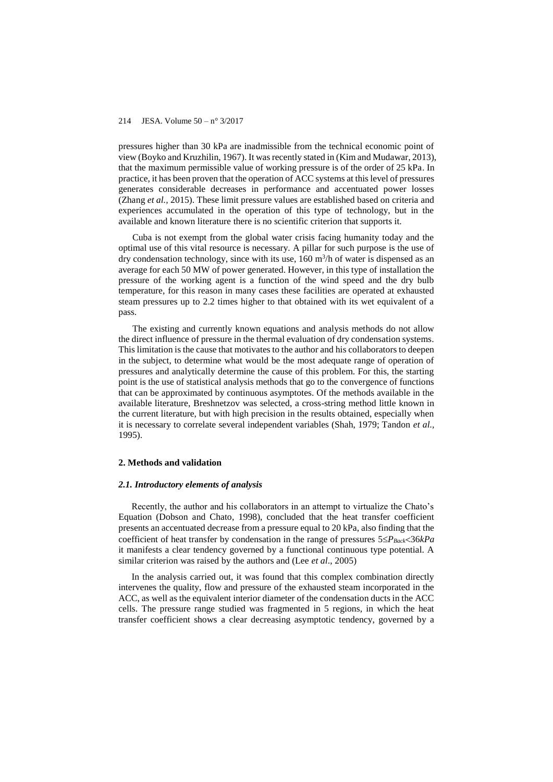pressures higher than 30 kPa are inadmissible from the technical economic point of view (Boyko and Kruzhilin, 1967). It was recently stated in (Kim and Mudawar, 2013), that the maximum permissible value of working pressure is of the order of 25 kPa. In practice, it has been proven that the operation of ACC systems at this level of pressures generates considerable decreases in performance and accentuated power losses (Zhang *et al.,* 2015). These limit pressure values are established based on criteria and experiences accumulated in the operation of this type of technology, but in the available and known literature there is no scientific criterion that supports it.

Cuba is not exempt from the global water crisis facing humanity today and the optimal use of this vital resource is necessary. A pillar for such purpose is the use of dry condensation technology, since with its use,  $160 \text{ m}^3/\text{h}$  of water is dispensed as an average for each 50 MW of power generated. However, in this type of installation the pressure of the working agent is a function of the wind speed and the dry bulb temperature, for this reason in many cases these facilities are operated at exhausted steam pressures up to 2.2 times higher to that obtained with its wet equivalent of a pass.

The existing and currently known equations and analysis methods do not allow the direct influence of pressure in the thermal evaluation of dry condensation systems. This limitation is the cause that motivates to the author and his collaborators to deepen in the subject, to determine what would be the most adequate range of operation of pressures and analytically determine the cause of this problem. For this, the starting point is the use of statistical analysis methods that go to the convergence of functions that can be approximated by continuous asymptotes. Of the methods available in the available literature, Breshnetzov was selected, a cross-string method little known in the current literature, but with high precision in the results obtained, especially when it is necessary to correlate several independent variables (Shah, 1979; Tandon *et al.,*  1995).

### **2. Methods and validation**

### *2.1. Introductory elements of analysis*

Recently, the author and his collaborators in an attempt to virtualize the Chato's Equation (Dobson and Chato, 1998), concluded that the heat transfer coefficient presents an accentuated decrease from a pressure equal to 20 kPa, also finding that the coefficient of heat transfer by condensation in the range of pressures  $5 \leq P_{Back} < 36kPa$ it manifests a clear tendency governed by a functional continuous type potential. A similar criterion was raised by the authors and (Lee *et al*., 2005)

In the analysis carried out, it was found that this complex combination directly intervenes the quality, flow and pressure of the exhausted steam incorporated in the ACC, as well as the equivalent interior diameter of the condensation ducts in the ACC cells. The pressure range studied was fragmented in 5 regions, in which the heat transfer coefficient shows a clear decreasing asymptotic tendency, governed by a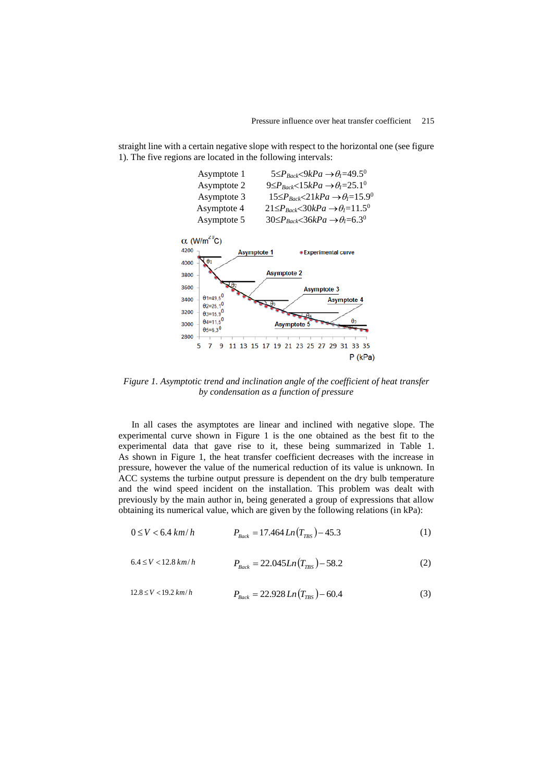



*Figure 1. Asymptotic trend and inclination angle of the coefficient of heat transfer by condensation as a function of pressure*

In all cases the asymptotes are linear and inclined with negative slope. The experimental curve shown in Figure 1 is the one obtained as the best fit to the experimental data that gave rise to it, these being summarized in Table 1. As shown in Figure 1, the heat transfer coefficient decreases with the increase in pressure, however the value of the numerical reduction of its value is unknown. In ACC systems the turbine output pressure is dependent on the dry bulb temperature and the wind speed incident on the installation. This problem was dealt with previously by the main author in, being generated a group of expressions that allow obtaining its numerical value, which are given by the following relations (in kPa):

$$
0 \le V < 6.4 \, \text{km/h} \qquad P_{\text{Back}} = 17.464 \, \text{Ln}(T_{\text{TBS}}) - 45.3 \tag{1}
$$

$$
6.4 \le V < 12.8 \, km/h \qquad P_{\text{Back}} = 22.045 \, Ln \left( T_{\text{TBS}} \right) - 58.2 \tag{2}
$$

$$
12.8 \le V < 19.2 \, km/h \qquad P_{\text{Back}} = 22.928 \, Ln \left( T_{\text{TBS}} \right) - 60.4 \tag{3}
$$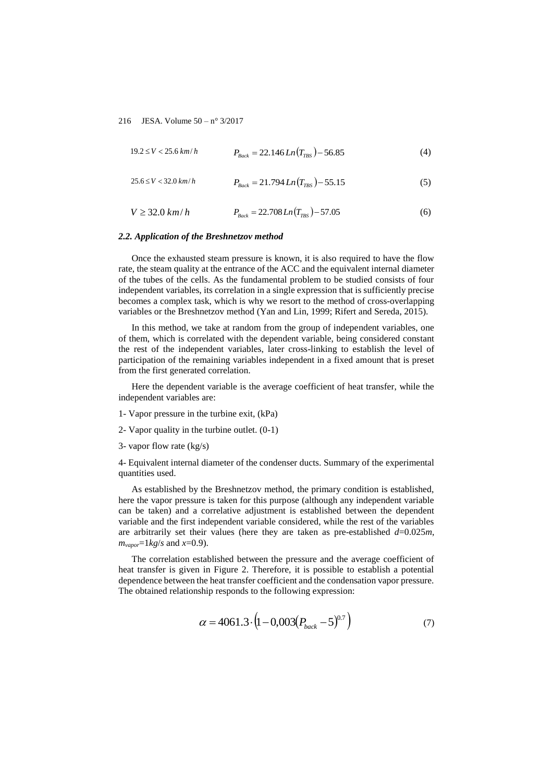$$
19.2 \le V < 25.6 \, \text{km/h} \qquad P_{\text{Back}} = 22.146 \, \text{Ln} \left( T_{\text{TBS}} \right) - 56.85 \tag{4}
$$

$$
25.6 \le V < 32.0 \, \text{km/h} \qquad P_{\text{Back}} = 21.794 \, \text{Ln} \left( T_{\text{TBS}} \right) - 55.15 \tag{5}
$$

$$
V \ge 32.0 \, km/h \qquad P_{\text{Back}} = 22.708 \, Ln \left( T_{\text{rms}} \right) - 57.05 \tag{6}
$$

#### *2.2. Application of the Breshnetzov method*

Once the exhausted steam pressure is known, it is also required to have the flow rate, the steam quality at the entrance of the ACC and the equivalent internal diameter of the tubes of the cells. As the fundamental problem to be studied consists of four independent variables, its correlation in a single expression that is sufficiently precise becomes a complex task, which is why we resort to the method of cross-overlapping variables or the Breshnetzov method (Yan and Lin, 1999; Rifert and Sereda, 2015).

In this method, we take at random from the group of independent variables, one of them, which is correlated with the dependent variable, being considered constant the rest of the independent variables, later cross-linking to establish the level of participation of the remaining variables independent in a fixed amount that is preset from the first generated correlation.

Here the dependent variable is the average coefficient of heat transfer, while the independent variables are:

- 1- Vapor pressure in the turbine exit, (kPa)
- 2- Vapor quality in the turbine outlet. (0-1)
- 3- vapor flow rate (kg/s)

4- Equivalent internal diameter of the condenser ducts. Summary of the experimental quantities used.

As established by the Breshnetzov method, the primary condition is established, here the vapor pressure is taken for this purpose (although any independent variable can be taken) and a correlative adjustment is established between the dependent variable and the first independent variable considered, while the rest of the variables are arbitrarily set their values (here they are taken as pre-established  $d=0.025m$ ,  $m_{vapor} = 1 \, kg/s$  and  $x = 0.9$ ).

The correlation established between the pressure and the average coefficient of heat transfer is given in Figure 2. Therefore, it is possible to establish a potential dependence between the heat transfer coefficient and the condensation vapor pressure. The obtained relationship responds to the following expression:

$$
\alpha = 4061.3 \cdot (1 - 0.003(P_{back} - 5)^{0.7}) \tag{7}
$$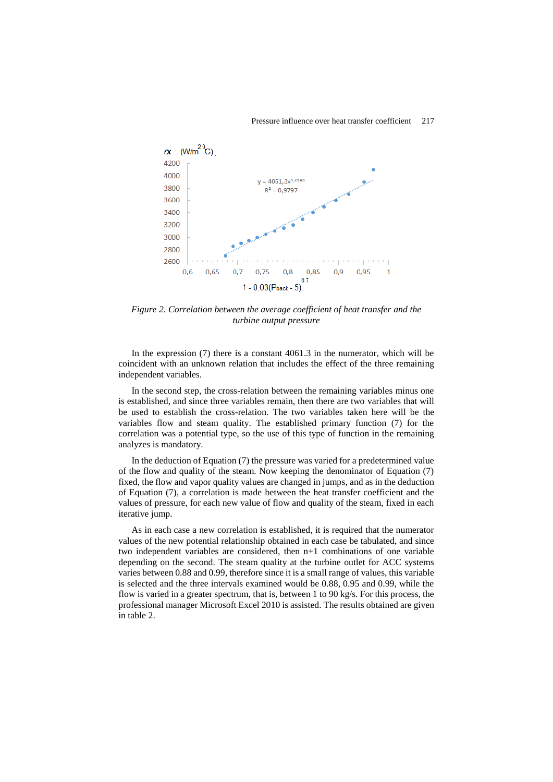### Pressure influence over heat transfer coefficient 217



*Figure 2. Correlation between the average coefficient of heat transfer and the turbine output pressure*

In the expression (7) there is a constant 4061.3 in the numerator, which will be coincident with an unknown relation that includes the effect of the three remaining independent variables.

In the second step, the cross-relation between the remaining variables minus one is established, and since three variables remain, then there are two variables that will be used to establish the cross-relation. The two variables taken here will be the variables flow and steam quality. The established primary function (7) for the correlation was a potential type, so the use of this type of function in the remaining analyzes is mandatory.

In the deduction of Equation (7) the pressure was varied for a predetermined value of the flow and quality of the steam. Now keeping the denominator of Equation (7) fixed, the flow and vapor quality values are changed in jumps, and as in the deduction of Equation (7), a correlation is made between the heat transfer coefficient and the values of pressure, for each new value of flow and quality of the steam, fixed in each iterative jump.

As in each case a new correlation is established, it is required that the numerator values of the new potential relationship obtained in each case be tabulated, and since two independent variables are considered, then n+1 combinations of one variable depending on the second. The steam quality at the turbine outlet for ACC systems varies between 0.88 and 0.99, therefore since it is a small range of values, this variable is selected and the three intervals examined would be 0.88, 0.95 and 0.99, while the flow is varied in a greater spectrum, that is, between 1 to 90 kg/s. For this process, the professional manager Microsoft Excel 2010 is assisted. The results obtained are given in table 2.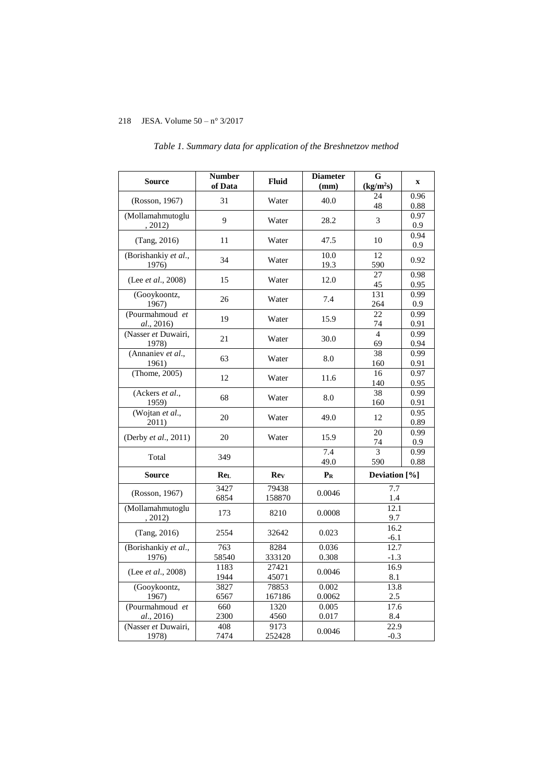| <b>Source</b>                                   | <b>Number</b><br>of Data | <b>Fluid</b>    | <b>Diameter</b><br>(mm) | $\overline{G}$<br>(kg/m <sup>2</sup> s) | $\mathbf X$  |
|-------------------------------------------------|--------------------------|-----------------|-------------------------|-----------------------------------------|--------------|
| (Rosson, 1967)                                  | 31                       | Water           | 40.0                    | 24<br>48                                | 0.96<br>0.88 |
| $\overline{\text{(Mollamahmutoglu}}$<br>, 2012) | 9                        | Water           | 28.2                    | 3                                       | 0.97<br>0.9  |
| (Tang, 2016)                                    | 11                       | Water           | 47.5                    | 10                                      | 0.94<br>0.9  |
| (Borishankiy et al.,<br>1976)                   | 34                       | Water           | 10.0<br>19.3            | 12<br>590                               | 0.92         |
| (Lee <i>et al.</i> , 2008)                      | 15                       | Water           | 12.0                    | 27<br>45                                | 0.98<br>0.95 |
| (Gooykoontz,<br>1967)                           | 26                       | Water           | 7.4                     | 131<br>264                              | 0.99<br>0.9  |
| (Pourmahmoud et<br>al., 2016)                   | 19                       | Water           | 15.9                    | 22<br>74                                | 0.99<br>0.91 |
| (Nasser et Duwairi,<br>1978)                    | 21                       | Water           | 30.0                    | $\overline{4}$<br>69                    | 0.99<br>0.94 |
| (Annaniev et al.,<br>1961)                      | 63                       | Water           | 8.0                     | 38<br>160                               | 0.99<br>0.91 |
| (Thome, 2005)                                   | 12                       | Water           | 11.6                    | 16<br>140                               | 0.97<br>0.95 |
| (Ackers et al.,<br>1959)                        | 68                       | Water           | 8.0                     | 38<br>160                               | 0.99<br>0.91 |
| (Wojtan et al.,<br>2011)                        | 20                       | Water           | 49.0                    | 12                                      | 0.95<br>0.89 |
| (Derby et al., 2011)                            | 20                       | Water           | 15.9                    | $\overline{20}$<br>74                   | 0.99<br>0.9  |
| Total                                           | 349                      |                 | 7.4<br>49.0             | $\overline{3}$<br>590                   | 0.99<br>0.88 |
| <b>Source</b>                                   | ReL                      | Rev             | $P_R$                   | Deviation [%]                           |              |
| (Rosson, 1967)                                  | 3427<br>6854             | 79438<br>158870 | 0.0046                  | 7.7<br>$1.4\,$                          |              |
| (Mollamahmutoglu<br>, 2012)                     | 173                      | 8210            | 0.0008                  | 12.1<br>9.7                             |              |
| (Tang, 2016)                                    | 2554                     | 32642           | 0.023                   | 16.2<br>$-6.1$                          |              |
| (Borishankiy et al.,<br>1976)                   | 763<br>58540             | 8284<br>333120  | 0.036<br>0.308          | 12.7<br>$-1.3$                          |              |
| (Lee <i>et al.</i> , 2008)                      | 1183<br>1944             | 27421<br>45071  | 0.0046                  | 16.9<br>8.1                             |              |
| (Gooykoontz,<br>1967)                           | 3827<br>6567             | 78853<br>167186 | 0.002<br>0.0062         | 13.8<br>2.5                             |              |
| (Pourmahmoud et<br>al., 2016)                   | 660<br>2300              | 1320<br>4560    | 0.005<br>0.017          | 17.6<br>8.4                             |              |
| (Nasser et Duwairi,<br>1978)                    | 408<br>7474              | 9173<br>252428  | 0.0046                  | 22.9<br>$-0.3$                          |              |

# *Table 1. Summary data for application of the Breshnetzov method*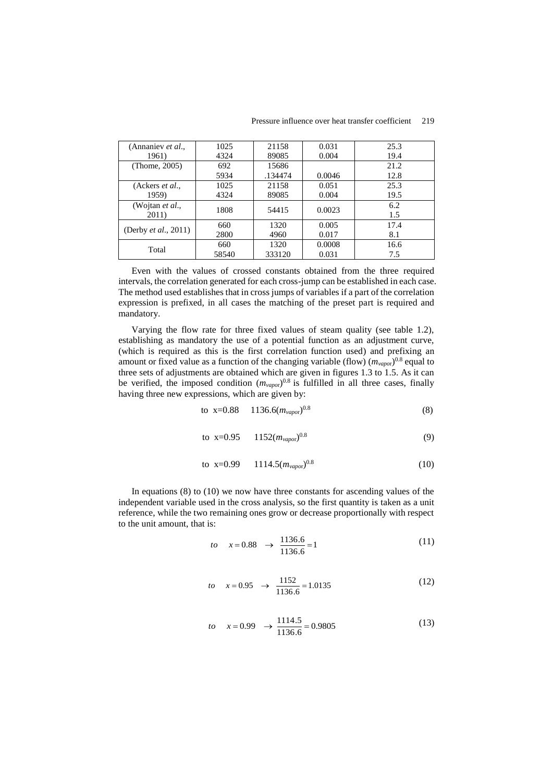| (Annaniev et al.,                | 1025  | 21158   | 0.031  | 25.3 |
|----------------------------------|-------|---------|--------|------|
| 1961)                            | 4324  | 89085   | 0.004  | 19.4 |
| (Thome, 2005)                    | 692   | 15686   |        | 21.2 |
|                                  | 5934  | .134474 | 0.0046 | 12.8 |
| (Ackers <i>et al.</i> ,          | 1025  | 21158   | 0.051  | 25.3 |
| 1959)                            | 4324  | 89085   | 0.004  | 19.5 |
| (Wojtan <i>et al.</i> ,<br>2011) | 1808  | 54415   | 0.0023 | 6.2  |
|                                  |       |         |        | 1.5  |
| (Derby <i>et al.</i> , 2011)     | 660   | 1320    | 0.005  | 17.4 |
|                                  | 2800  | 4960    | 0.017  | 8.1  |
| Total                            | 660   | 1320    | 0.0008 | 16.6 |
|                                  | 58540 | 333120  | 0.031  | 7.5  |

Even with the values of crossed constants obtained from the three required intervals, the correlation generated for each cross-jump can be established in each case. The method used establishes that in cross jumps of variables if a part of the correlation expression is prefixed, in all cases the matching of the preset part is required and mandatory.

Varying the flow rate for three fixed values of steam quality (see table 1.2), establishing as mandatory the use of a potential function as an adjustment curve, (which is required as this is the first correlation function used) and prefixing an amount or fixed value as a function of the changing variable (flow)  $(m_{vapor})^{0.8}$  equal to three sets of adjustments are obtained which are given in figures 1.3 to 1.5. As it can be verified, the imposed condition  $(m_{vapor})^{0.8}$  is fulfilled in all three cases, finally having three new expressions, which are given by:

to x=0.88 1136.6(
$$
m_{vapor}
$$
)<sup>0.8</sup> (8)

to 
$$
x=0.95
$$
 1152( $m_{vapor}$ )<sup>0.8</sup> (9)

to x=0.99 1114.5
$$
(m_{vapor})^{0.8}
$$
 (10)

In equations  $(8)$  to  $(10)$  we now have three constants for ascending values of the independent variable used in the cross analysis, so the first quantity is taken as a unit reference, while the two remaining ones grow or decrease proportionally with respect to the unit amount, that is:

$$
to \quad x = 0.88 \quad \rightarrow \quad \frac{1136.6}{1136.6} = 1 \tag{11}
$$

$$
to \quad x = 0.95 \quad \rightarrow \quad \frac{1152}{1136.6} = 1.0135 \tag{12}
$$

$$
to \quad x = 0.99 \quad \rightarrow \frac{1114.5}{1136.6} = 0.9805 \tag{13}
$$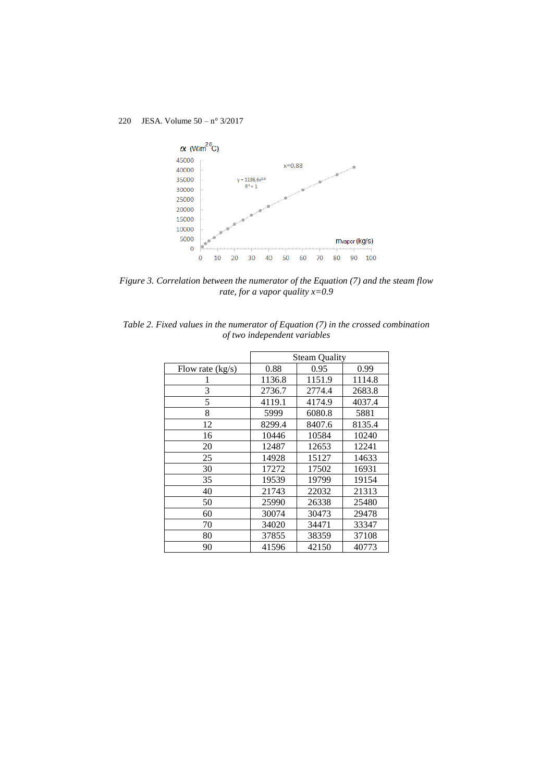

*Figure 3. Correlation between the numerator of the Equation (7) and the steam flow rate, for a vapor quality x=0.9*

|  |  |                              |  | Table 2. Fixed values in the numerator of Equation (7) in the crossed combination |
|--|--|------------------------------|--|-----------------------------------------------------------------------------------|
|  |  | of two independent variables |  |                                                                                   |

|                    | <b>Steam Quality</b> |        |        |
|--------------------|----------------------|--------|--------|
| Flow rate $(kg/s)$ | 0.88                 | 0.95   | 0.99   |
|                    | 1136.8               | 1151.9 | 1114.8 |
| 3                  | 2736.7               | 2774.4 | 2683.8 |
| 5                  | 4119.1               | 4174.9 | 4037.4 |
| 8                  | 5999                 | 6080.8 | 5881   |
| 12                 | 8299.4               | 8407.6 | 8135.4 |
| 16                 | 10446                | 10584  | 10240  |
| 20                 | 12487                | 12653  | 12241  |
| 25                 | 14928                | 15127  | 14633  |
| 30                 | 17272                | 17502  | 16931  |
| 35                 | 19539                | 19799  | 19154  |
| 40                 | 21743                | 22032  | 21313  |
| 50                 | 25990                | 26338  | 25480  |
| 60                 | 30074                | 30473  | 29478  |
| 70                 | 34020                | 34471  | 33347  |
| 80                 | 37855                | 38359  | 37108  |
| 90                 | 41596                | 42150  | 40773  |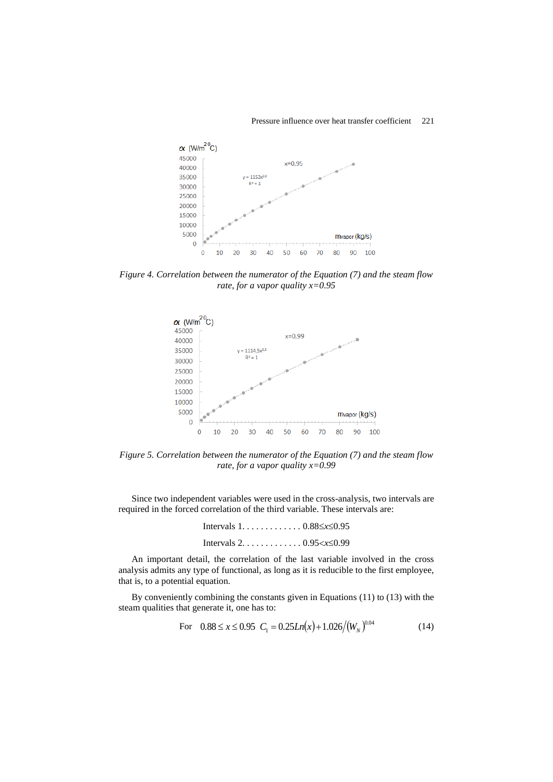### Pressure influence over heat transfer coefficient 221



*Figure 4. Correlation between the numerator of the Equation (7) and the steam flow rate, for a vapor quality x=0.95*



*Figure 5. Correlation between the numerator of the Equation (7) and the steam flow rate, for a vapor quality x=0.99*

Since two independent variables were used in the cross-analysis, two intervals are required in the forced correlation of the third variable. These intervals are:

| Intervals $1, \ldots, \ldots, 0.88 \leq x \leq 0.95$         |  |
|--------------------------------------------------------------|--|
| Intervals $2 \ldots \ldots \ldots \ldots 0.95 < x \leq 0.99$ |  |

An important detail, the correlation of the last variable involved in the cross analysis admits any type of functional, as long as it is reducible to the first employee, that is, to a potential equation.

By conveniently combining the constants given in Equations (11) to (13) with the steam qualities that generate it, one has to:

For 
$$
0.88 \le x \le 0.95
$$
  $C_1 = 0.25Ln(x) + 1.026/(W_N)^{0.04}$  (14)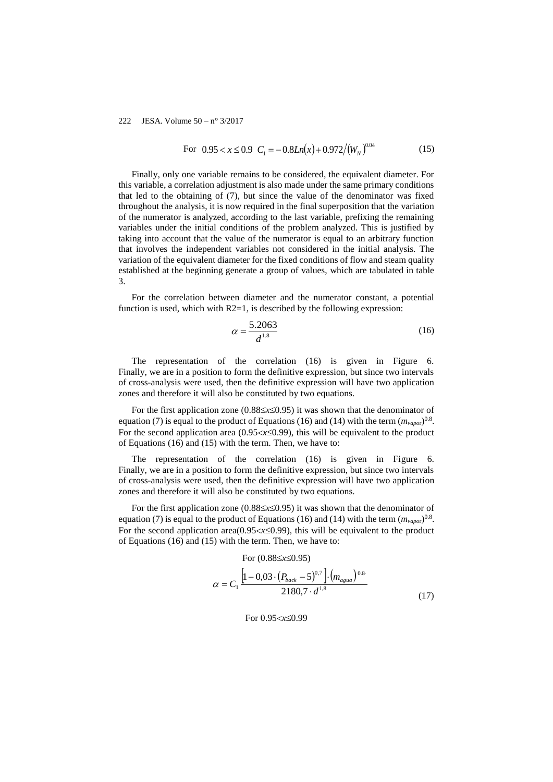For 
$$
0.95 < x \le 0.9
$$
  $C_1 = -0.8Ln(x) + 0.972/(W_N)^{0.04}$  (15)

Finally, only one variable remains to be considered, the equivalent diameter. For this variable, a correlation adjustment is also made under the same primary conditions that led to the obtaining of (7), but since the value of the denominator was fixed throughout the analysis, it is now required in the final superposition that the variation of the numerator is analyzed, according to the last variable, prefixing the remaining variables under the initial conditions of the problem analyzed. This is justified by taking into account that the value of the numerator is equal to an arbitrary function that involves the independent variables not considered in the initial analysis. The variation of the equivalent diameter for the fixed conditions of flow and steam quality established at the beginning generate a group of values, which are tabulated in table 3.

For the correlation between diameter and the numerator constant, a potential function is used, which with  $R2=1$ , is described by the following expression:

$$
\alpha = \frac{5.2063}{d^{1.8}}
$$
 (16)

The representation of the correlation (16) is given in Figure 6. Finally, we are in a position to form the definitive expression, but since two intervals of cross-analysis were used, then the definitive expression will have two application zones and therefore it will also be constituted by two equations.

For the first application zone ( $0.88 \le x \le 0.95$ ) it was shown that the denominator of equation (7) is equal to the product of Equations (16) and (14) with the term  $(m_{vapor})^{0.8}$ . For the second application area  $(0.95 < x \leq 0.99)$ , this will be equivalent to the product of Equations (16) and (15) with the term. Then, we have to:

The representation of the correlation (16) is given in Figure 6. Finally, we are in a position to form the definitive expression, but since two intervals of cross-analysis were used, then the definitive expression will have two application zones and therefore it will also be constituted by two equations.

For the first application zone  $(0.88 \le x \le 0.95)$  it was shown that the denominator of equation (7) is equal to the product of Equations (16) and (14) with the term  $(m_{vapor})^{0.8}$ . For the second application area( $0.95 < x \le 0.99$ ), this will be equivalent to the product of Equations (16) and (15) with the term. Then, we have to:

For 
$$
(0.88 \le x \le 0.95)
$$
  
\n
$$
\alpha = C_1 \frac{\left[1 - 0.03 \cdot (P_{back} - 5)^{0.7}\right] \cdot (m_{agua})^{0.8}}{2180.7 \cdot d^{1.8}}
$$
\n(17)

For 0.95< $x \le 0.99$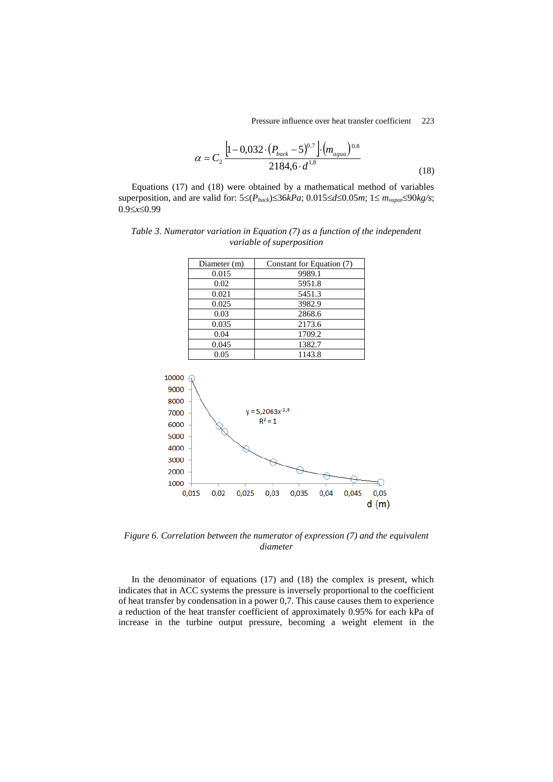Pressure influence over heat transfer coefficient 223

$$
\alpha = C_2 \frac{\left[1 - 0.032 \cdot (P_{back} - 5)^{0.7}\right] \cdot (m_{again})^{0.8}}{2184.6 \cdot d^{1.8}}
$$
\n(18)

Equations (17) and (18) were obtained by a mathematical method of variables superposition, and are valid for:  $5 \leq (P_{back}) \leq 36kPa$ ;  $0.015 \leq d \leq 0.05m$ ;  $1 \leq m_{vapor} \leq 90kg/s$ ;  $0.9 \le x \le 0.99$ 

| Diameter (m) | Constant for Equation (7) |
|--------------|---------------------------|
| 0.015        | 9989.1                    |
| 0.02         | 5951.8                    |
| 0.021        | 5451.3                    |
| 0.025        | 3982.9                    |
| 0.03         | 2868.6                    |
| 0.035        | 2173.6                    |
| 0.04         | 1709.2                    |
| 0.045        | 1382.7                    |
| 0.05         | 1143.8                    |

*Table 3. Numerator variation in Equation (7) as a function of the independent variable of superposition*



*Figure 6. Correlation between the numerator of expression (7) and the equivalent diameter*

In the denominator of equations (17) and (18) the complex is present, which indicates that in ACC systems the pressure is inversely proportional to the coefficient of heat transfer by condensation in a power 0,7. This cause causes them to experience a reduction of the heat transfer coefficient of approximately 0.95% for each kPa of increase in the turbine output pressure, becoming a weight element in the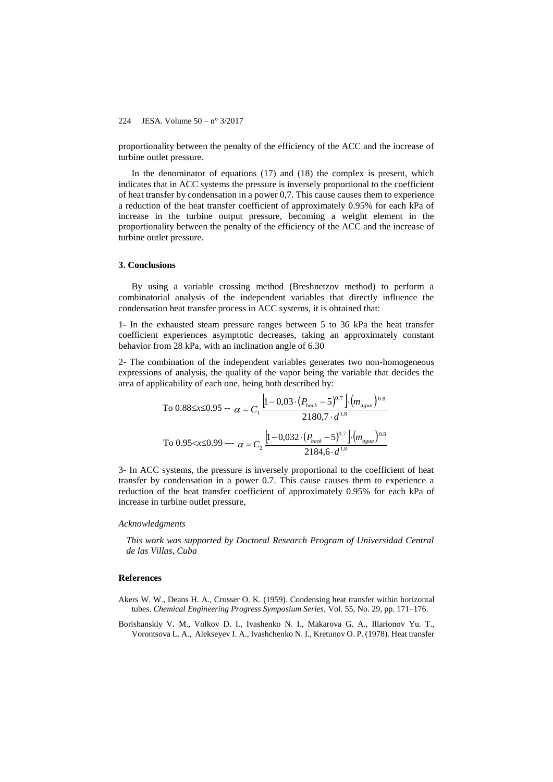proportionality between the penalty of the efficiency of the ACC and the increase of turbine outlet pressure.

In the denominator of equations  $(17)$  and  $(18)$  the complex is present, which indicates that in ACC systems the pressure is inversely proportional to the coefficient of heat transfer by condensation in a power 0,7. This cause causes them to experience a reduction of the heat transfer coefficient of approximately 0.95% for each kPa of increase in the turbine output pressure, becoming a weight element in the proportionality between the penalty of the efficiency of the ACC and the increase of turbine outlet pressure.

### **3. Conclusions**

By using a variable crossing method (Breshnetzov method) to perform a combinatorial analysis of the independent variables that directly influence the condensation heat transfer process in ACC systems, it is obtained that:

1- In the exhausted steam pressure ranges between 5 to 36 kPa the heat transfer coefficient experiences asymptotic decreases, taking an approximately constant behavior from 28 kPa, with an inclination angle of 6.30

2- The combination of the independent variables generates two non-homogeneous expressions of analysis, the quality of the vapor being the variable that decides the area of applicability of each one, being both described by:

To 0.88≤x≤0.95 - 
$$
α = C_1 \frac{\left[1 - 0.03 \cdot (P_{back} - 5)^{0.7}\right] \cdot (m_{agua})^{0.8}}{2180.7 \cdot d^{1.8}}
$$
  
To 0.95< x≤0.99 -  $α = C_2 \frac{\left[1 - 0.032 \cdot (P_{back} - 5)^{0.7}\right] \cdot (m_{agua})^{0.8}}{2184.6 \cdot d^{1.8}}$ 

3- In ACC systems, the pressure is inversely proportional to the coefficient of heat transfer by condensation in a power 0.7. This cause causes them to experience a reduction of the heat transfer coefficient of approximately 0.95% for each kPa of increase in turbine outlet pressure,

### *Acknowledgments*

*This work was supported by Doctoral Research Program of Universidad Central de las Villas, Cuba*

### **References**

- Akers W. W., Deans H. A., Crosser O. K. (1959). Condensing heat transfer within horizontal tubes. *Chemical Engineering Progress Symposium Series*, Vol. 55, No. 29, pp. 171–176.
- Borishanskiy V. M., Volkov D. I., Ivashenko N. I., Makarova G. A., Illarionov Yu. T., Vorontsova L. A., Alekseyev I. A., Ivashchenko N. I., Kretunov O. P. (1978). Heat transfer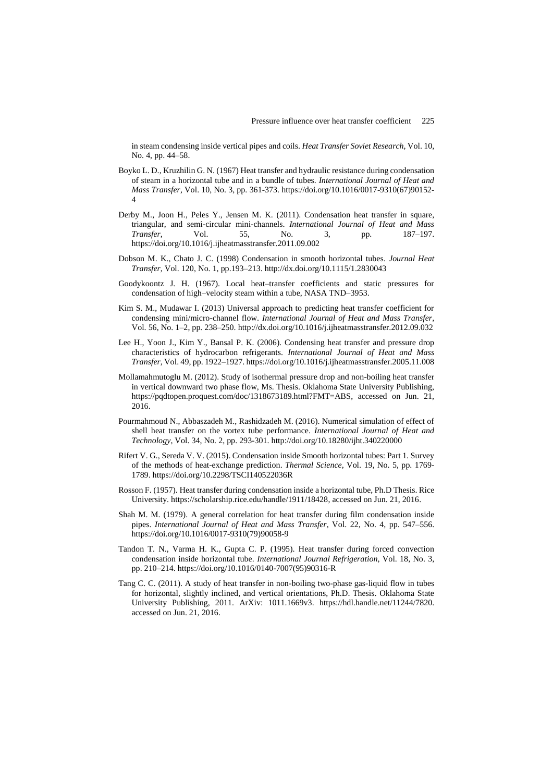in steam condensing inside vertical pipes and coils. *Heat Transfer Soviet Research*, Vol. 10, No. 4, pp. 44–58.

- Boyko L. D., Kruzhilin G. N. (1967) Heat transfer and hydraulic resistance during condensation of steam in a horizontal tube and in a bundle of tubes. *International Journal of Heat and Mass Transfer*, Vol. 10, No. 3, pp. 361-373. [https://doi.org/10.1016/0017-9310\(67\)90152-](https://doi.org/10.1016/0017-9310(67)90152-4) [4](https://doi.org/10.1016/0017-9310(67)90152-4)
- Derby M., Joon H., Peles Y., Jensen M. K. (2011). Condensation heat transfer in square, triangular, and semi-circular mini-channels. *International Journal of Heat and Mass Transfer*, Vol. 55, No. 3, pp. 187–197. <https://doi.org/10.1016/j.ijheatmasstransfer.2011.09.002>
- Dobson M. K., Chato J. C. (1998) Condensation in smooth horizontal tubes. *Journal Heat Transfer*, Vol. 120, No. 1, pp.193–213. <http://dx.doi.org/10.1115/1.2830043>
- Goodykoontz J. H. (1967). Local heat–transfer coefficients and static pressures for condensation of high–velocity steam within a tube, NASA TND–3953.
- Kim S. M., Mudawar I. (2013) Universal approach to predicting heat transfer coefficient for condensing mini/micro-channel flow. *International Journal of Heat and Mass Transfer*, Vol. 56, No. 1–2, pp. 238–250[. http://dx.doi.org/10.1016/j.ijheatmasstransfer.2012.09.032](http://dx.doi.org/10.1016/j.ijheatmasstransfer.2012.09.032)
- Lee H., Yoon J., Kim Y., Bansal P. K. (2006). Condensing heat transfer and pressure drop characteristics of hydrocarbon refrigerants. *International Journal of Heat and Mass Transfer*, Vol. 49, pp. 1922–1927. https://doi.org/10.1016/j.ijheatmasstransfer.2005.11.008
- Mollamahmutoglu M. (2012). Study of isothermal pressure drop and non-boiling heat transfer in vertical downward two phase flow, Ms. Thesis. Oklahoma State University Publishing, [https://pqdtopen.proquest.com/doc/1318673189.html?FMT=ABS,](https://pqdtopen.proquest.com/doc/1318673189.html?FMT=ABS) accessed on Jun. 21, 2016.
- Pourmahmoud N., Abbaszadeh M., Rashidzadeh M. (2016). Numerical simulation of effect of shell heat transfer on the vortex tube performance. *International Journal of Heat and Technology*, Vol. 34, No. 2, pp. 293-301. http://doi.org/10.18280/ijht.340220000
- Rifert V. G., Sereda V. V. (2015). Condensation inside Smooth horizontal tubes: Part 1. Survey of the methods of heat-exchange prediction. *Thermal Science*, Vol. 19, No. 5, pp. 1769- 1789[. https://doi.org/10.2298/TSCI140522036R](https://doi.org/10.2298/TSCI140522036R)
- Rosson F. (1957). Heat transfer during condensation inside a horizontal tube, Ph.D Thesis. Rice University. [https://scholarship.rice.edu/handle/1911/18428,](https://scholarship.rice.edu/handle/1911/18428) accessed on Jun. 21, 2016.
- Shah M. M. (1979). A general correlation for heat transfer during film condensation inside pipes. *International Journal of Heat and Mass Transfer*, Vol. 22, No. 4, pp. 547–556. [https://doi.org/10.1016/0017-9310\(79\)90058-9](https://doi.org/10.1016/0017-9310(79)90058-9)
- Tandon T. N., Varma H. K., Gupta C. P. (1995). Heat transfer during forced convection condensation inside horizontal tube. *International Journal Refrigeration*, Vol. 18, No. 3, pp. 210–214. [https://doi.org/10.1016/0140-7007\(95\)90316-R](https://doi.org/10.1016/0140-7007(95)90316-R)
- Tang C. C. (2011). A study of heat transfer in non-boiling two-phase gas-liquid flow in tubes for horizontal, slightly inclined, and vertical orientations, Ph.D. Thesis. Oklahoma State University Publishing, 2011. ArXiv: 1011.1669v3. [https://hdl.handle.net/11244/7820.](https://hdl.handle.net/11244/7820)  accessed on Jun. 21, 2016.